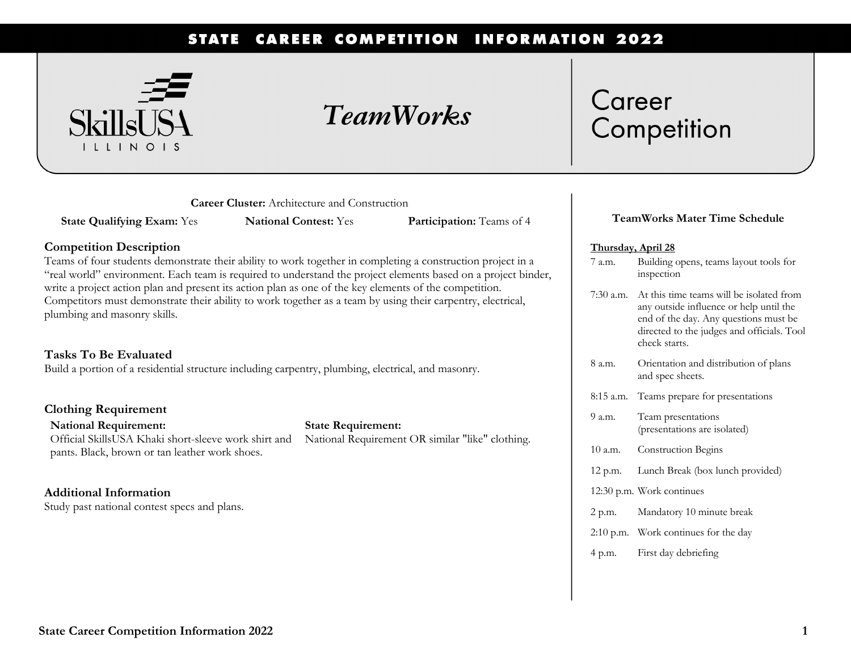#### **CAREER COMPETITION INFORMATION 2022 STATE**



## *TeamWorks*

# Career Competition

**Career Cluster:** Architecture and Construction

**State Qualifying Exam:** Yes **National Contest:** Yes **Participation:** Teams of 4

#### **Competition Description**

Teams of four students demonstrate their ability to work together in completing a construction project in a "real world" environment. Each team is required to understand the project elements based on a project binder, write a project action plan and present its action plan as one of the key elements of the competition. Competitors must demonstrate their ability to work together as a team by using their carpentry, electrical, plumbing and masonry skills.

### **Tasks To Be Evaluated**

Build a portion of a residential structure including carpentry, plumbing, electrical, and masonry.

#### **Clothing Requirement**

**National Requirement:**  Official SkillsUSA Khaki short-sleeve work shirt and pants. Black, brown or tan leather work shoes.

### **State Requirement:**

National Requirement OR similar "like" clothing.

### **Additional Information**

Study past national contest specs and plans.

### **TeamWorks Mater Time Schedule**

#### **Thursday, April 28**

- 7 a.m. Building opens, teams layout tools for inspection
- 7:30 a.m. At this time teams will be isolated from any outside influence or help until the end of the day. Any questions must be directed to the judges and officials. Tool check starts.
- 8 a.m. Orientation and distribution of plans and spec sheets.
- 8:15 a.m. Teams prepare for presentations
- 9 a.m. Team presentations (presentations are isolated)
- 10 a.m. Construction Begins
- 12 p.m. Lunch Break (box lunch provided)
- 12:30 p.m. Work continues
- 2 p.m. Mandatory 10 minute break
- 2:10 p.m. Work continues for the day
- 4 p.m. First day debriefing